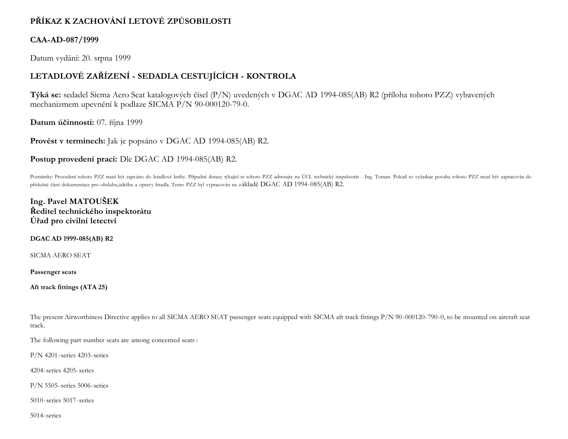# **PŘÍKAZ K ZACHOVÁNÍ LETOVÉ ZPŮSOBILOSTI**

### **CAA-AD-087/1999**

Datum vydání: 20. srpna 1999

## **LETADLOVÉ ZAŘÍZENÍ - SEDADLA CESTUJÍCÍCH - KONTROLA**

**Týká se:** sedadel Sicma Aero Seat katalogových čísel (P/N) uvedených v DGAC AD 1994-085(AB) R2 (příloha tohoto PZZ) vybavených mechanizmem upevnění k podlaze SICMA P/N 90-000120-79-0.

**Datum účinnosti:** 07. října 1999

**Provést v termínech:** Jak je popsáno v DGAC AD 1994-085(AB) R2.

**Postup provedení prací:** Dle DGAC AD 1994-085(AB) R2.

Poznámky: Provedení tohoto PZZ musí být zapsáno do letadlové knihy. Případné dotazy týkající se tohoto PZZ adresujte na ÚCL technický inspektorát - Ing. Toman. Pokud to vyžaduje povaha tohoto PZZ musí být zapracován do příslušné části dokumentace pro obsluhu,údržbu a opravy letadla. Tento PZZ byl vypracován na základě DGAC AD 1994-085(AB) R2.

**Ing. Pavel MATOUŠEK Ředitel technického inspektorátu Úřad pro civilní letectví**

**DGAC AD 1999-085(AB) R2**

SICMA AERO SEAT

**Passenger seats**

**Aft track fittings (ATA 25)**

The present Airworthiness Directive applies to all SICMA AERO SEAT passenger seats equipped with SICMA aft track fittings P/N 90-000120-790-0, to be mounted on aircraft seat track.

The following part number seats are among concerned seats :

P/N 4201-series 4203-series

4204-series 4205-series

P/N 5505-series 5006-series

5010-series 5017-series

5014-series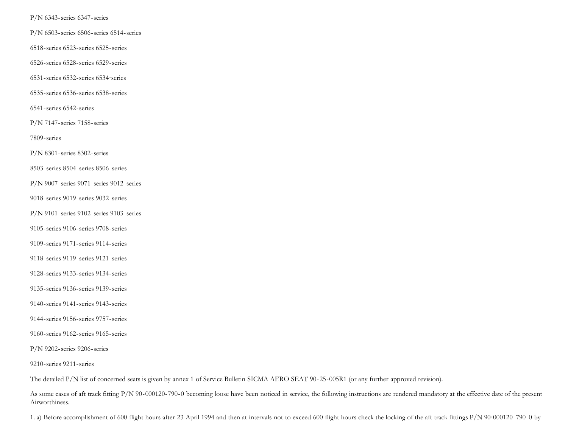P/N 6343-series 6347-series

P/N 6503-series 6506-series 6514-series

6518-series 6523-series 6525-series

6526-series 6528-series 6529-series

6531-series 6532-series 6534·series

6535-series 6536-series 6538-series

6541-series 6542-series

P/N 7147-series 7158-series

7809-series

P/N 8301-series 8302-series

8503-series 8504-series 8506-series

P/N 9007-series 9071-series 9012-series

9018-series 9019-series 9032-series

P/N 9101-series 9102-series 9103-series

9105-series 9106-series 9708-series

9109-series 9171-series 9114-series

9118-series 9119-series 9121-series

9128-series 9133-series 9134-series

9135-series 9136-series 9139-series

- 9140-series 9141-series 9143-series
- 9144-series 9156-series 9757-series

9160-series 9162-series 9165-series

P/N 9202-series 9206-series

9210-series 9211-series

The detailed P/N list of concerned seats is given by annex 1 of Service Bulletin SICMA AERO SEAT 90-25-005R1 (or any further approved revision).

As some cases of aft track fitting P/N 90-000120-790-0 becoming loose have been noticed in service, the following instructions are rendered mandatory at the effective date of the present Airworthiness.

1. a) Before accomplishment of 600 flight hours after 23 April 1994 and then at intervals not to exceed 600 flight hours check the locking of the aft track fittings P/N 90·000120-790-0 by